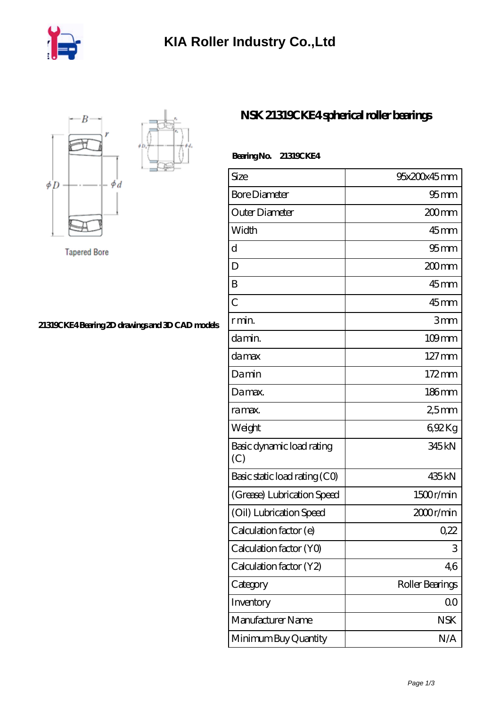



**Tapered Bore** 

## **[21319CKE4 Bearing 2D drawings and 3D CAD models](https://m.iyded.com/pic-65532.html)**

## **[NSK 21319CKE4 spherical roller bearings](https://m.iyded.com/bh-65532-nsk-21319cke4-spherical-roller-bearings.html)**

| <b>BearingNo.</b> | 21319CKE4 |
|-------------------|-----------|
|                   |           |

| Size                             | 95x200x45mm         |
|----------------------------------|---------------------|
| <b>Bore Diameter</b>             | $95$ <sub>mm</sub>  |
| Outer Diameter                   | 200 mm              |
| Width                            | $45$ <sub>mm</sub>  |
| d                                | $95$ <sub>mm</sub>  |
| D                                | 200mm               |
| B                                | $45$ mm             |
| Ċ                                | $45$ mm             |
| r min.                           | 3mm                 |
| da min.                          | $109$ mm            |
| damax                            | $127 \,\mathrm{mm}$ |
| Damin                            | $172 \,\mathrm{mm}$ |
| Damax.                           | 186mm               |
| ra max.                          | 25mm                |
| Weight                           | 692Kg               |
| Basic dynamic load rating<br>(C) | 345 kN              |
| Basic static load rating (CO)    | 435 kN              |
| (Grease) Lubrication Speed       | 1500r/min           |
| (Oil) Lubrication Speed          | 2000r/min           |
| Calculation factor (e)           | 0,22                |
| Calculation factor (YO)          | 3                   |
| Calculation factor (Y2)          | 46                  |
| Category                         | Roller Bearings     |
| Inventory                        | 0 <sub>0</sub>      |
| Manufacturer Name                | <b>NSK</b>          |
| Minimum Buy Quantity             | N/A                 |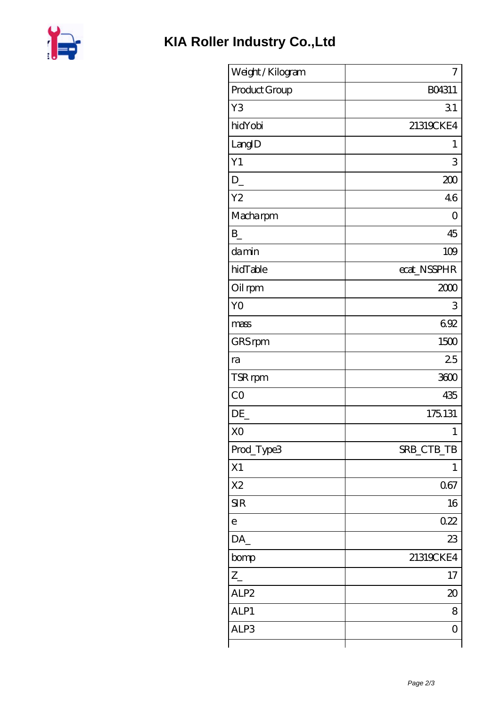

| Weight / Kilogram | 7              |
|-------------------|----------------|
| Product Group     | BO4311         |
| Y3                | 31             |
| hidYobi           | 21319CKE4      |
| LangID            | 1              |
| Y1                | 3              |
| $D_{-}$           | 200            |
| Y <sub>2</sub>    | 46             |
| Macharpm          | 0              |
| $\mathbf{B}$      | 45             |
| damin             | 109            |
| hidTable          | ecat_NSSPHR    |
| Oil rpm           | 2000           |
| Y <sub>O</sub>    | 3              |
| mass              | 692            |
| GRS rpm           | 1500           |
| ra                | 25             |
| TSR rpm           | 3600           |
| CO                | 435            |
| DE                | 175.131        |
| X <sub>O</sub>    | 1              |
| Prod_Type3        | SRB_CTB_TB     |
| X1                | 1              |
| X <sub>2</sub>    | 067            |
| <b>SIR</b>        | 16             |
| $\mathbf e$       | 0.22           |
| DA_               | 23             |
| bomp              | 21319CKE4      |
| $Z_{-}$           | 17             |
| ALP <sub>2</sub>  | $\infty$       |
| ALP1              | 8              |
| ALP3              | $\overline{O}$ |
|                   |                |